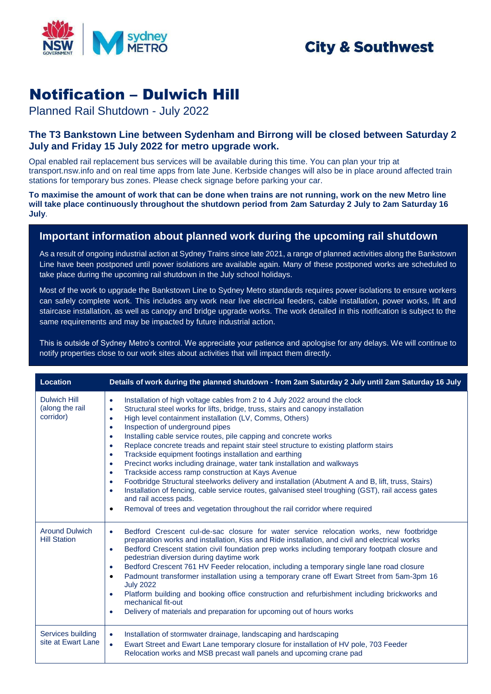

## **City & Southwest**

# Notification – Dulwich Hill

Planned Rail Shutdown - July 2022

#### **The T3 Bankstown Line between Sydenham and Birrong will be closed between Saturday 2 July and Friday 15 July 2022 for metro upgrade work.**

Opal enabled rail replacement bus services will be available during this time. You can plan your trip at transport.nsw.info and on real time apps from late June. Kerbside changes will also be in place around affected train stations for temporary bus zones. Please check signage before parking your car.

**To maximise the amount of work that can be done when trains are not running, work on the new Metro line will take place continuously throughout the shutdown period from 2am Saturday 2 July to 2am Saturday 16 July**.

### **Important information about planned work during the upcoming rail shutdown**

As a result of ongoing industrial action at Sydney Trains since late 2021, a range of planned activities along the Bankstown Line have been postponed until power isolations are available again. Many of these postponed works are scheduled to take place during the upcoming rail shutdown in the July school holidays.

Most of the work to upgrade the Bankstown Line to Sydney Metro standards requires power isolations to ensure workers can safely complete work. This includes any work near live electrical feeders, cable installation, power works, lift and staircase installation, as well as canopy and bridge upgrade works. The work detailed in this notification is subject to the same requirements and may be impacted by future industrial action.

This is outside of Sydney Metro's control. We appreciate your patience and apologise for any delays. We will continue to notify properties close to our work sites about activities that will impact them directly.

| <b>Location</b>                                     | Details of work during the planned shutdown - from 2am Saturday 2 July until 2am Saturday 16 July                                                                                                                                                                                                                                                                                                                                                                                                                                                                                                                                                                                                                                                                                                                                                                                                                                                                                                                                                                                     |
|-----------------------------------------------------|---------------------------------------------------------------------------------------------------------------------------------------------------------------------------------------------------------------------------------------------------------------------------------------------------------------------------------------------------------------------------------------------------------------------------------------------------------------------------------------------------------------------------------------------------------------------------------------------------------------------------------------------------------------------------------------------------------------------------------------------------------------------------------------------------------------------------------------------------------------------------------------------------------------------------------------------------------------------------------------------------------------------------------------------------------------------------------------|
| <b>Dulwich Hill</b><br>(along the rail<br>corridor) | Installation of high voltage cables from 2 to 4 July 2022 around the clock<br>$\bullet$<br>Structural steel works for lifts, bridge, truss, stairs and canopy installation<br>$\bullet$<br>High level containment installation (LV, Comms, Others)<br>$\bullet$<br>Inspection of underground pipes<br>$\bullet$<br>Installing cable service routes, pile capping and concrete works<br>$\bullet$<br>Replace concrete treads and repaint stair steel structure to existing platform stairs<br>$\bullet$<br>Trackside equipment footings installation and earthing<br>$\bullet$<br>Precinct works including drainage, water tank installation and walkways<br>$\bullet$<br>Trackside access ramp construction at Kays Avenue<br>$\bullet$<br>Footbridge Structural steelworks delivery and installation (Abutment A and B, lift, truss, Stairs)<br>$\bullet$<br>Installation of fencing, cable service routes, galvanised steel troughing (GST), rail access gates<br>$\bullet$<br>and rail access pads.<br>Removal of trees and vegetation throughout the rail corridor where required |
| <b>Around Dulwich</b><br><b>Hill Station</b>        | Bedford Crescent cul-de-sac closure for water service relocation works, new footbridge<br>$\bullet$<br>preparation works and installation, Kiss and Ride installation, and civil and electrical works<br>Bedford Crescent station civil foundation prep works including temporary footpath closure and<br>$\bullet$<br>pedestrian diversion during daytime work<br>Bedford Crescent 761 HV Feeder relocation, including a temporary single lane road closure<br>$\bullet$<br>Padmount transformer installation using a temporary crane off Ewart Street from 5am-3pm 16<br>$\bullet$<br><b>July 2022</b><br>Platform building and booking office construction and refurbishment including brickworks and<br>mechanical fit-out<br>Delivery of materials and preparation for upcoming out of hours works<br>$\bullet$                                                                                                                                                                                                                                                                  |
| Services building<br>site at Ewart Lane             | Installation of stormwater drainage, landscaping and hardscaping<br>$\bullet$<br>Ewart Street and Ewart Lane temporary closure for installation of HV pole, 703 Feeder<br>$\bullet$<br>Relocation works and MSB precast wall panels and upcoming crane pad                                                                                                                                                                                                                                                                                                                                                                                                                                                                                                                                                                                                                                                                                                                                                                                                                            |